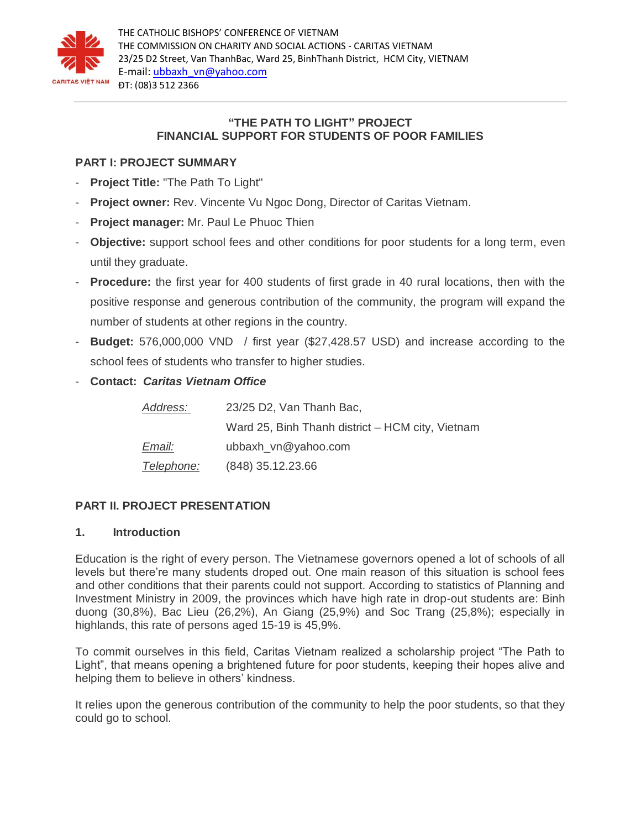

# **"THE PATH TO LIGHT" PROJECT FINANCIAL SUPPORT FOR STUDENTS OF POOR FAMILIES**

# **PART I: PROJECT SUMMARY**

- **Project Title:** "The Path To Light"
- **Project owner:** Rev. Vincente Vu Ngoc Dong, Director of Caritas Vietnam.
- **Project manager:** Mr. Paul Le Phuoc Thien
- **Objective:** support school fees and other conditions for poor students for a long term, even until they graduate.
- **Procedure:** the first year for 400 students of first grade in 40 rural locations, then with the positive response and generous contribution of the community, the program will expand the number of students at other regions in the country.
- **Budget:** 576,000,000 VND / first year (\$27,428.57 USD) and increase according to the school fees of students who transfer to higher studies.
- **Contact:** *Caritas Vietnam Office*

| Address:          | 23/25 D2, Van Thanh Bac,                         |
|-------------------|--------------------------------------------------|
|                   | Ward 25, Binh Thanh district - HCM city, Vietnam |
| Email:            | ubbaxh vn@yahoo.com                              |
| <u>Telephone:</u> | $(848)$ 35.12.23.66                              |

# **PART II. PROJECT PRESENTATION**

# **1. Introduction**

Education is the right of every person. The Vietnamese governors opened a lot of schools of all levels but there're many students droped out. One main reason of this situation is school fees and other conditions that their parents could not support. According to statistics of Planning and Investment Ministry in 2009, the provinces which have high rate in drop-out students are: Binh duong (30,8%), Bac Lieu (26,2%), An Giang (25,9%) and Soc Trang (25,8%); especially in highlands, this rate of persons aged 15-19 is 45,9%.

To commit ourselves in this field, Caritas Vietnam realized a scholarship project "The Path to Light", that means opening a brightened future for poor students, keeping their hopes alive and helping them to believe in others' kindness.

It relies upon the generous contribution of the community to help the poor students, so that they could go to school.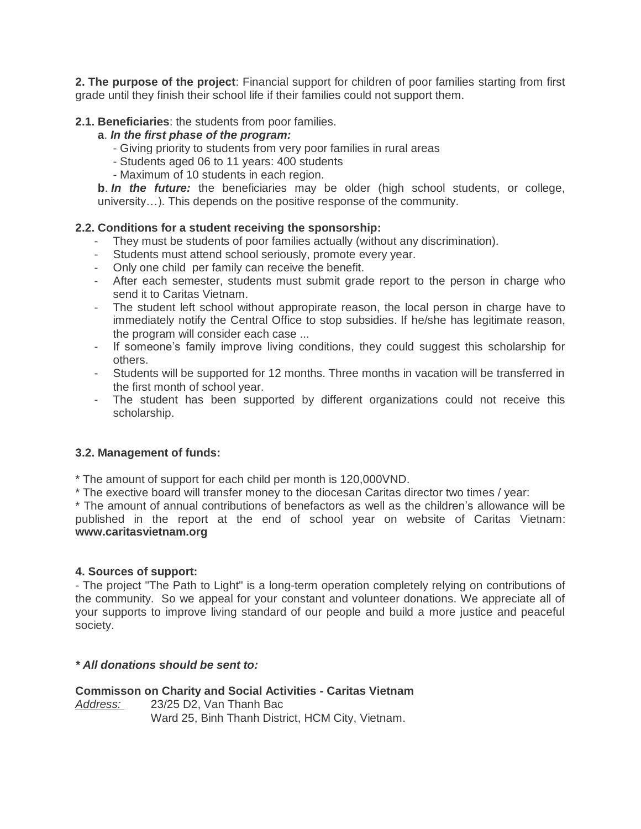**2. The purpose of the project**: Financial support for children of poor families starting from first grade until they finish their school life if their families could not support them.

# **2.1. Beneficiaries**: the students from poor families.

### **a**. *In the first phase of the program:*

- Giving priority to students from very poor families in rural areas
- Students aged 06 to 11 years: 400 students
- Maximum of 10 students in each region.

**b**. *In the future:* the beneficiaries may be older (high school students, or college, university…). This depends on the positive response of the community.

#### **2.2. Conditions for a student receiving the sponsorship:**

- They must be students of poor families actually (without any discrimination).
- Students must attend school seriously, promote every year.
- Only one child per family can receive the benefit.
- After each semester, students must submit grade report to the person in charge who send it to Caritas Vietnam.
- The student left school without appropirate reason, the local person in charge have to immediately notify the Central Office to stop subsidies. If he/she has legitimate reason, the program will consider each case ...
- If someone's family improve living conditions, they could suggest this scholarship for others.
- Students will be supported for 12 months. Three months in vacation will be transferred in the first month of school year.
- The student has been supported by different organizations could not receive this scholarship.

# **3.2. Management of funds:**

\* The amount of support for each child per month is 120,000VND.

\* The exective board will transfer money to the diocesan Caritas director two times / year:

\* The amount of annual contributions of benefactors as well as the children's allowance will be published in the report at the end of school year on website of Caritas Vietnam: **www.caritasvietnam.org**

#### **4. Sources of support:**

- The project "The Path to Light" is a long-term operation completely relying on contributions of the community. So we appeal for your constant and volunteer donations. We appreciate all of your supports to improve living standard of our people and build a more justice and peaceful society.

# *\* All donations should be sent to:*

**Commisson on Charity and Social Activities - Caritas Vietnam** *Address:* 23/25 D2, Van Thanh Bac Ward 25, Binh Thanh District, HCM City, Vietnam.